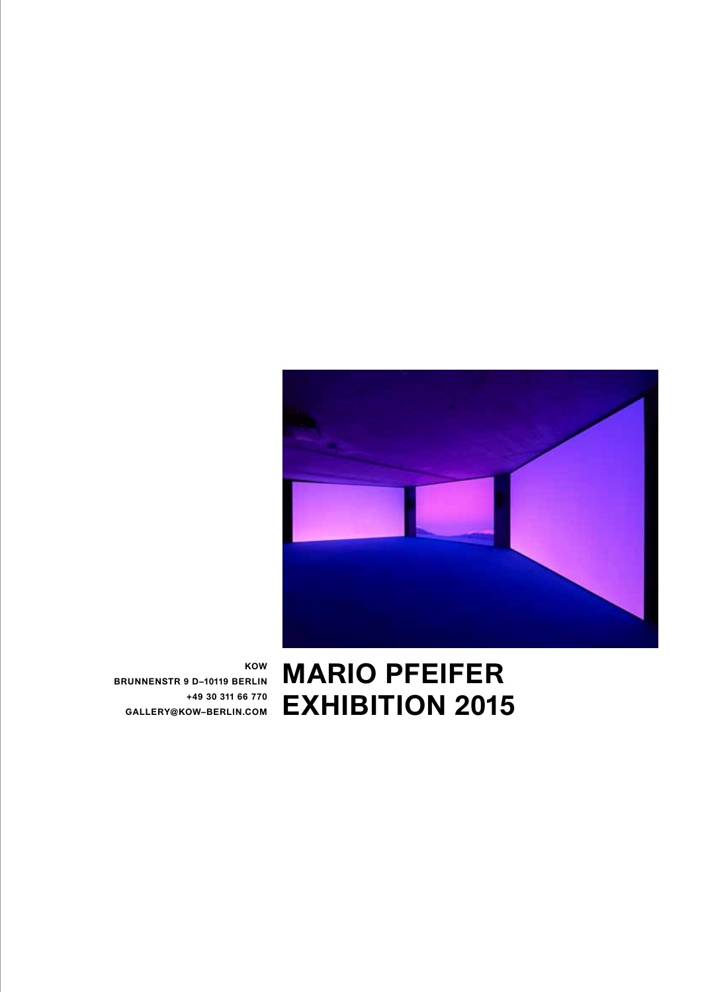

**MARIO PFEIFER EXHIBITION 2015**

**KOW BRUNNENSTR 9 D–10119 BERLIN +49 30 311 66 770 GALLERY@KOW–BERLIN.COM**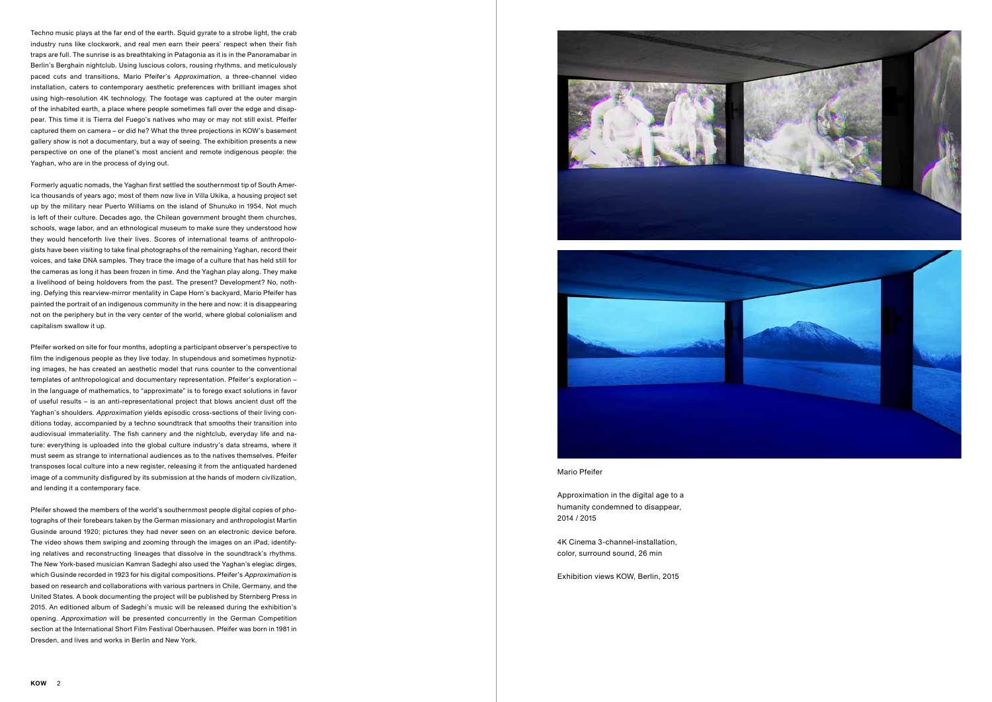Approximation in the digital age to a humanity condemned to disappear, 2014 / 2015

4K Cinema 3-channel-installation, color, surround sound, 26 min

Exhibition views KOW, Berlin, 2015

Techno music plays at the far end of the earth. Squid gyrate to a strobe light, the crab industry runs like clockwork, and real men earn their peers' respect when their fish traps are full. The sunrise is as breathtaking in Patagonia as it is in the Panoramabar in Berlin's Berghain nightclub. Using luscious colors, rousing rhythms, and meticulously paced cuts and transitions, Mario Pfeifer's Approximation, a three-channel video installation, caters to contemporary aesthetic preferences with brilliant images shot using high-resolution 4K technology. The footage was captured at the outer margin of the inhabited earth, a place where people sometimes fall over the edge and disappear. This time it is Tierra del Fuego's natives who may or may not still exist. Pfeifer captured them on camera – or did he? What the three projections in KOW's basement gallery show is not a documentary, but a way of seeing. The exhibition presents a new perspective on one of the planet's most ancient and remote indigenous people: the Yaghan, who are in the process of dying out.

Formerly aquatic nomads, the Yaghan first settled the southernmost tip of South America thousands of years ago; most of them now live in Villa Ukika, a housing project set up by the military near Puerto Williams on the island of Shunuko in 1954. Not much is left of their culture. Decades ago, the Chilean government brought them churches, schools, wage labor, and an ethnological museum to make sure they understood how they would henceforth live their lives. Scores of international teams of anthropologists have been visiting to take final photographs of the remaining Yaghan, record their voices, and take DNA samples. They trace the image of a culture that has held still for the cameras as long it has been frozen in time. And the Yaghan play along. They make a livelihood of being holdovers from the past. The present? Development? No, nothing. Defying this rearview-mirror mentality in Cape Horn's backyard, Mario Pfeifer has painted the portrait of an indigenous community in the here and now: it is disappearing not on the periphery but in the very center of the world, where global colonialism and capitalism swallow it up.

Pfeifer worked on site for four months, adopting a participant observer's perspective to film the indigenous people as they live today. In stupendous and sometimes hypnotizing images, he has created an aesthetic model that runs counter to the conventional templates of anthropological and documentary representation. Pfeifer's exploration – in the language of mathematics, to "approximate" is to forego exact solutions in favor of useful results – is an anti-representational project that blows ancient dust off the Yaghan's shoulders. Approximation yields episodic cross-sections of their living conditions today, accompanied by a techno soundtrack that smooths their transition into audiovisual immateriality. The fish cannery and the nightclub, everyday life and nature: everything is uploaded into the global culture industry's data streams, where it must seem as strange to international audiences as to the natives themselves. Pfeifer transposes local culture into a new register, releasing it from the antiquated hardened image of a community disfigured by its submission at the hands of modern civilization, and lending it a contemporary face.

Pfeifer showed the members of the world's southernmost people digital copies of photographs of their forebears taken by the German missionary and anthropologist Martin Gusinde around 1920; pictures they had never seen on an electronic device before. The video shows them swiping and zooming through the images on an iPad, identifying relatives and reconstructing lineages that dissolve in the soundtrack's rhythms. The New York-based musician Kamran Sadeghi also used the Yaghan's elegiac dirges, which Gusinde recorded in 1923 for his digital compositions. Pfeifer's Approximation is based on research and collaborations with various partners in Chile, Germany, and the United States. A book documenting the project will be published by Sternberg Press in 2015. An editioned album of Sadeghi's music will be released during the exhibition's opening. Approximation will be presented concurrently in the German Competition section at the International Short Film Festival Oberhausen. Pfeifer was born in 1981 in Dresden, and lives and works in Berlin and New York.



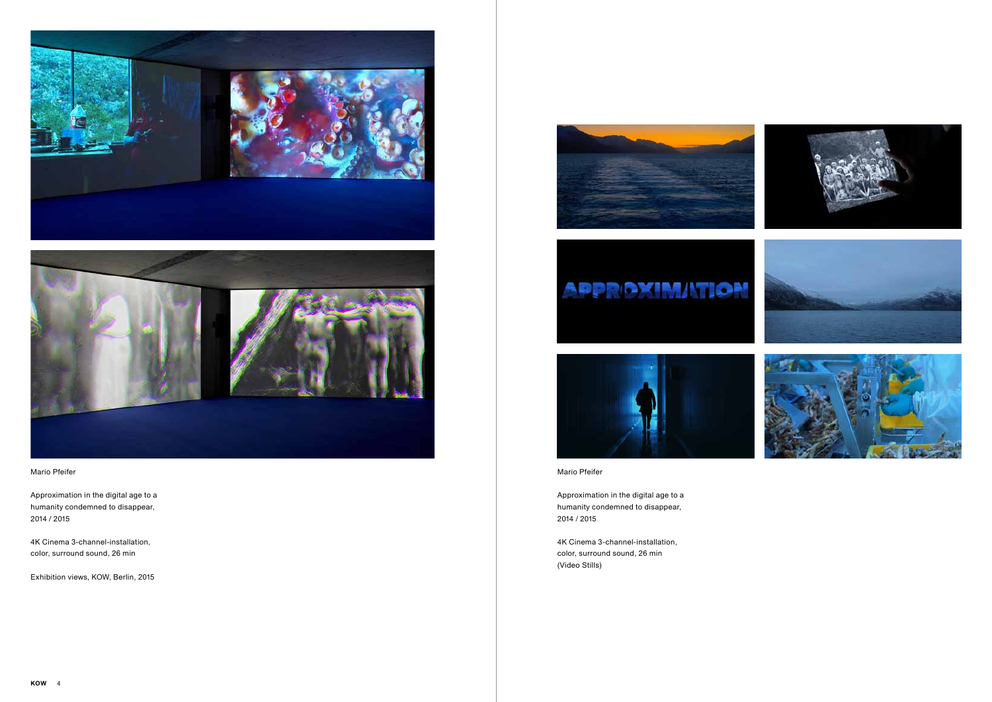

Approximation in the digital age to a humanity condemned to disappear, 2014 / 2015

4K Cinema 3-channel-installation, color, surround sound, 26 min (Video Stills)





## Mario Pfeifer

Approximation in the digital age to a humanity condemned to disappear, 2014 / 2015

4K Cinema 3-channel-installation, color, surround sound, 26 min

Exhibition views, KOW, Berlin, 2015



## **APPROXIMATION**

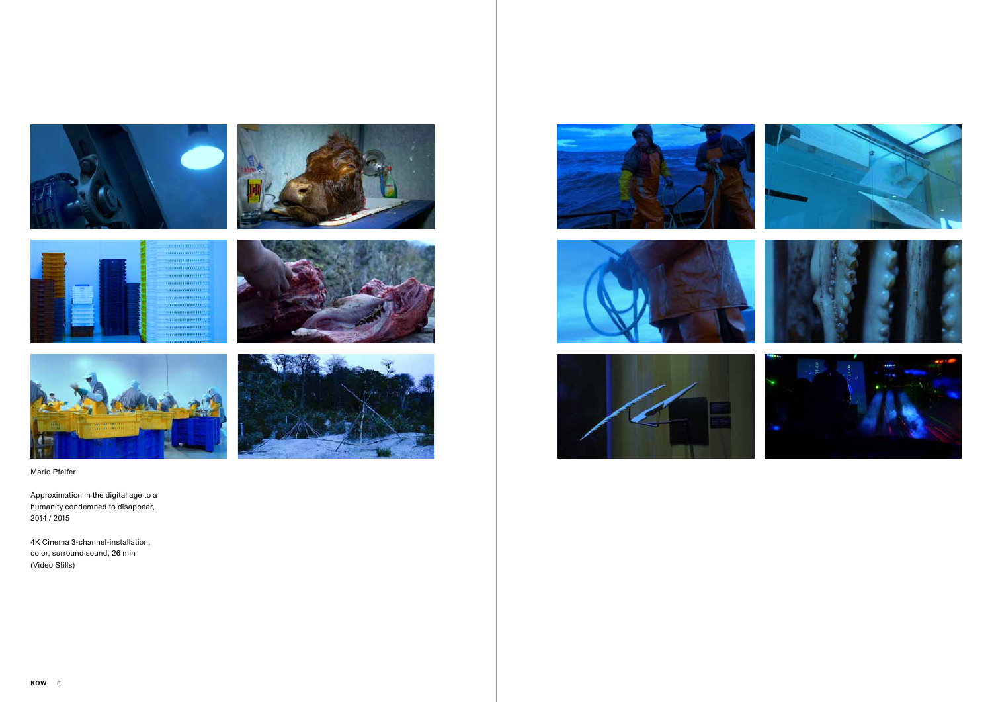















Approximation in the digital age to a humanity condemned to disappear, 2014 / 2015

4K Cinema 3-channel-installation, color, surround sound, 26 min (Video Stills)







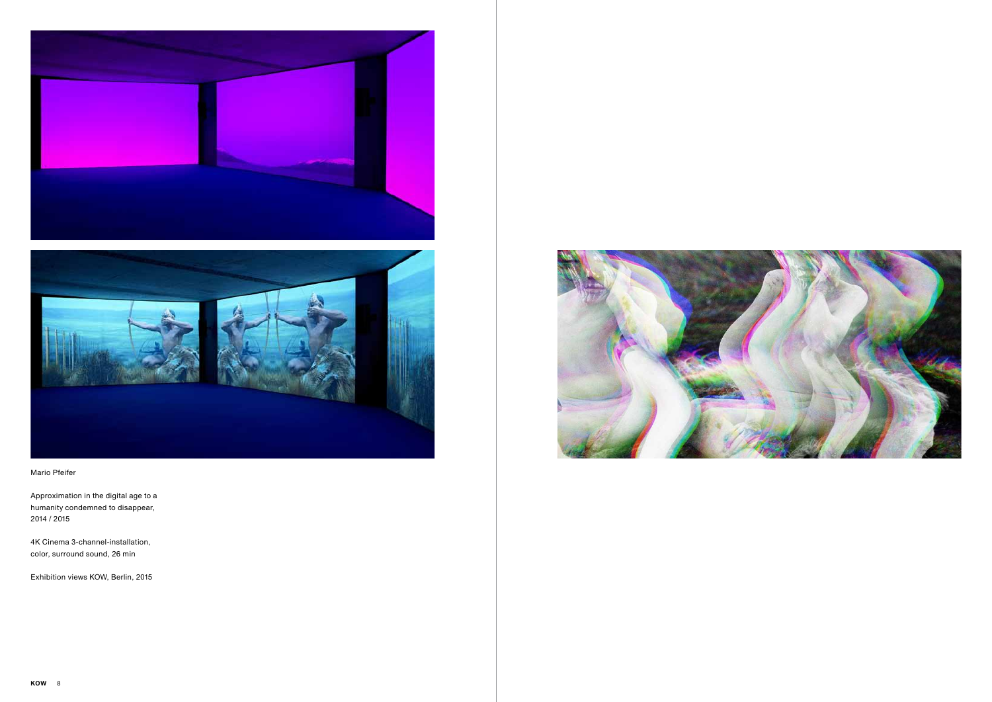



Approximation in the digital age to a humanity condemned to disappear, 2014 / 2015

4K Cinema 3-channel-installation, color, surround sound, 26 min

Exhibition views KOW, Berlin, 2015

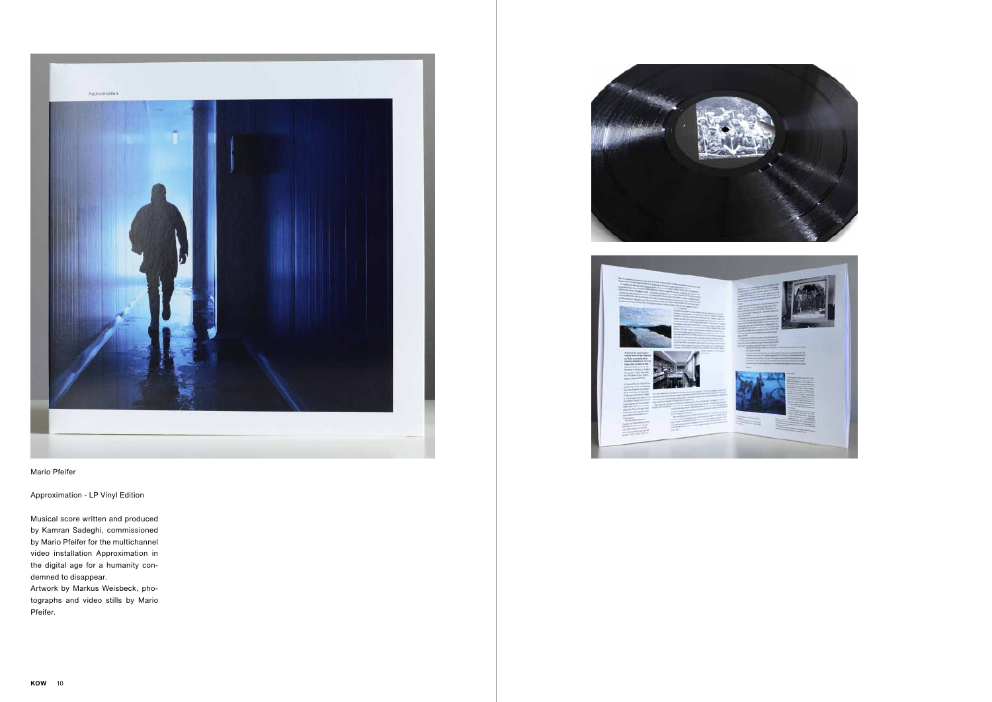

Approximation - LP Vinyl Edition

Musical score written and produced by Kamran Sadeghi, commissioned by Mario Pfeifer for the multichannel video installation Approximation in the digital age for a humanity condemned to disappear.

Artwork by Markus Weisbeck, photographs and video stills by Mario Pfeifer.